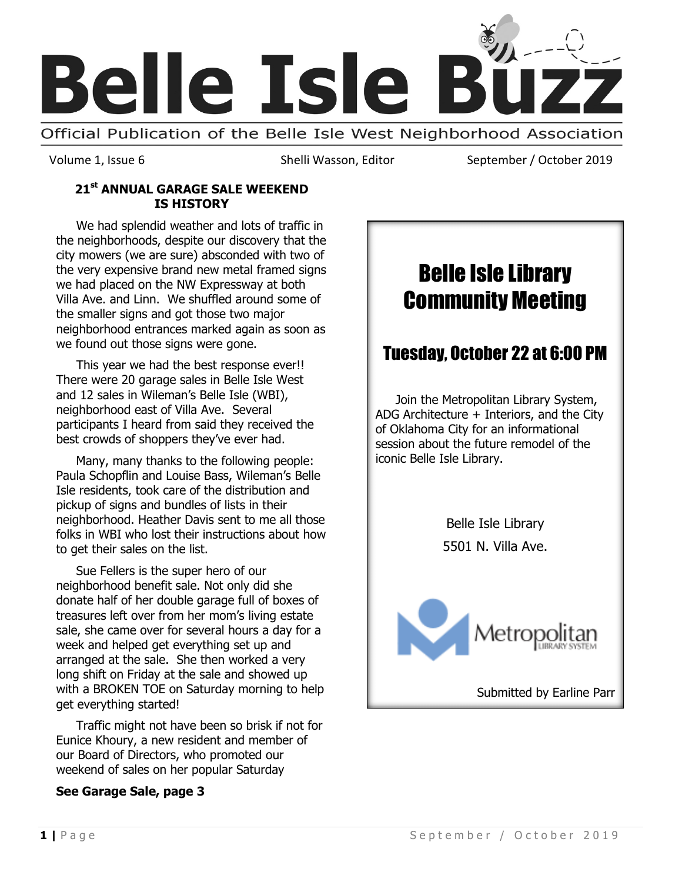

Volume 1, Issue 6 Shelli Wasson, Editor September / October 2019

#### **21st ANNUAL GARAGE SALE WEEKEND IS HISTORY**

We had splendid weather and lots of traffic in the neighborhoods, despite our discovery that the city mowers (we are sure) absconded with two of the very expensive brand new metal framed signs we had placed on the NW Expressway at both Villa Ave. and Linn. We shuffled around some of the smaller signs and got those two major neighborhood entrances marked again as soon as we found out those signs were gone.

This year we had the best response ever!! There were 20 garage sales in Belle Isle West and 12 sales in Wileman's Belle Isle (WBI), neighborhood east of Villa Ave. Several participants I heard from said they received the best crowds of shoppers they've ever had.

Many, many thanks to the following people: Paula Schopflin and Louise Bass, Wileman's Belle Isle residents, took care of the distribution and pickup of signs and bundles of lists in their neighborhood. Heather Davis sent to me all those folks in WBI who lost their instructions about how to get their sales on the list.

Sue Fellers is the super hero of our neighborhood benefit sale. Not only did she donate half of her double garage full of boxes of treasures left over from her mom's living estate sale, she came over for several hours a day for a week and helped get everything set up and arranged at the sale. She then worked a very long shift on Friday at the sale and showed up with a BROKEN TOE on Saturday morning to help get everything started!

Traffic might not have been so brisk if not for Eunice Khoury, a new resident and member of our Board of Directors, who promoted our weekend of sales on her popular Saturday

#### **See Garage Sale, page 3**

# Belle Isle Library Community Meeting

# Tuesday, October 22 at 6:00 PM

Join the Metropolitan Library System, ADG Architecture + Interiors, and the City of Oklahoma City for an informational session about the future remodel of the iconic Belle Isle Library.

> Belle Isle Library 5501 N. Villa Ave.

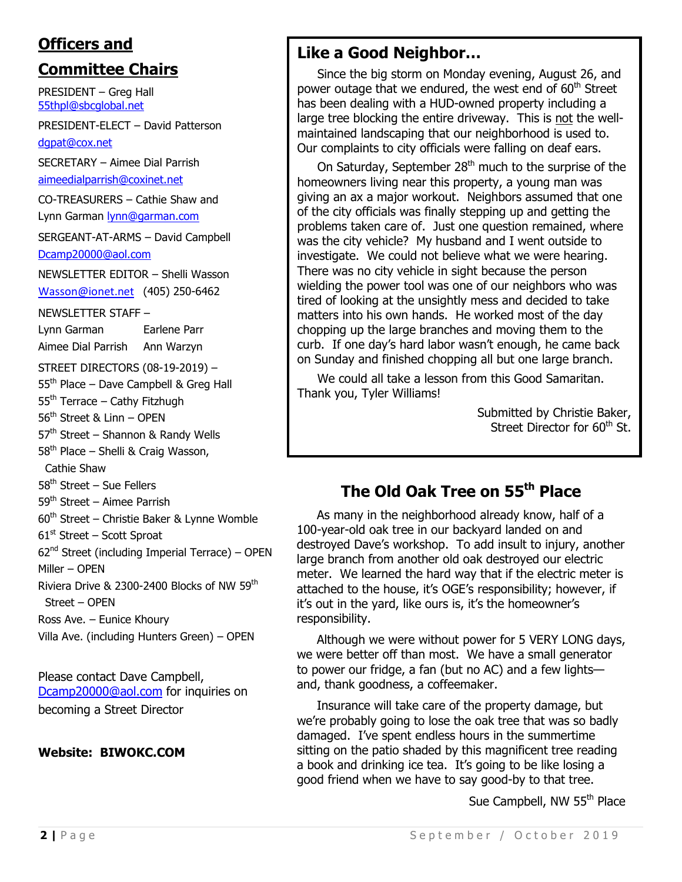# **Officers and**

### **Committee Chairs**

PRESIDENT – Greg Hall [55thpl@sbcglobal.net](mailto:55thpl@sbcglobal.net)

PRESIDENT-ELECT – David Patterson [dgpat@cox.net](mailto:dgpat@cox.net)

SECRETARY – Aimee Dial Parrish [aimeedialparrish@coxinet.net](mailto:aimeedialparrish@coxinet.net)

CO-TREASURERS – Cathie Shaw and Lynn Garman [lynn@garman.com](mailto:lynn@garman.com)

SERGEANT-AT-ARMS – David Campbell [Dcamp20000@aol.com](mailto:Dcamp20000@aol.com)

NEWSLETTER EDITOR – Shelli Wasson [Wasson@ionet.net](mailto:Wasson@ionet.net) (405) 250-6462

NEWSLETTER STAFF –

Lynn Garman Earlene Parr Aimee Dial Parrish Ann Warzyn

STREET DIRECTORS (08-19-2019) –

 $55<sup>th</sup>$  Place – Dave Campbell & Greg Hall

 $55<sup>th</sup>$  Terrace – Cathy Fitzhugh

56<sup>th</sup> Street & Linn - OPEN

 $57<sup>th</sup>$  Street – Shannon & Randy Wells

 $58<sup>th</sup>$  Place – Shelli & Craig Wasson,

Cathie Shaw

 $58<sup>th</sup>$  Street – Sue Fellers

59<sup>th</sup> Street – Aimee Parrish

 $60<sup>th</sup>$  Street – Christie Baker & Lynne Womble

 $61<sup>st</sup>$  Street – Scott Sproat

 $62<sup>nd</sup>$  Street (including Imperial Terrace) – OPEN

Miller – OPEN

Riviera Drive & 2300-2400 Blocks of NW 59th Street – OPEN

Ross Ave. – Eunice Khoury

Villa Ave. (including Hunters Green) – OPEN

Please contact Dave Campbell, [Dcamp20000@aol.com](mailto:Dcamp20000@aol.com) for inquiries on becoming a Street Director

#### **Website: BIWOKC.COM**

### **Like a Good Neighbor…**

Since the big storm on Monday evening, August 26, and power outage that we endured, the west end of 60<sup>th</sup> Street has been dealing with a HUD-owned property including a large tree blocking the entire driveway. This is not the wellmaintained landscaping that our neighborhood is used to. Our complaints to city officials were falling on deaf ears.

On Saturday, September  $28<sup>th</sup>$  much to the surprise of the homeowners living near this property, a young man was giving an ax a major workout. Neighbors assumed that one of the city officials was finally stepping up and getting the problems taken care of. Just one question remained, where was the city vehicle? My husband and I went outside to investigate. We could not believe what we were hearing. There was no city vehicle in sight because the person wielding the power tool was one of our neighbors who was tired of looking at the unsightly mess and decided to take matters into his own hands. He worked most of the day chopping up the large branches and moving them to the curb. If one day's hard labor wasn't enough, he came back on Sunday and finished chopping all but one large branch.

We could all take a lesson from this Good Samaritan. Thank you, Tyler Williams!

> Submitted by Christie Baker, Street Director for 60<sup>th</sup> St.

# **The Old Oak Tree on 55th Place**

As many in the neighborhood already know, half of a 100-year-old oak tree in our backyard landed on and destroyed Dave's workshop. To add insult to injury, another large branch from another old oak destroyed our electric meter. We learned the hard way that if the electric meter is attached to the house, it's OGE's responsibility; however, if it's out in the yard, like ours is, it's the homeowner's responsibility.

Although we were without power for 5 VERY LONG days, we were better off than most. We have a small generator to power our fridge, a fan (but no AC) and a few lights and, thank goodness, a coffeemaker.

Insurance will take care of the property damage, but we're probably going to lose the oak tree that was so badly damaged. I've spent endless hours in the summertime sitting on the patio shaded by this magnificent tree reading a book and drinking ice tea. It's going to be like losing a good friend when we have to say good-by to that tree.

Sue Campbell, NW 55<sup>th</sup> Place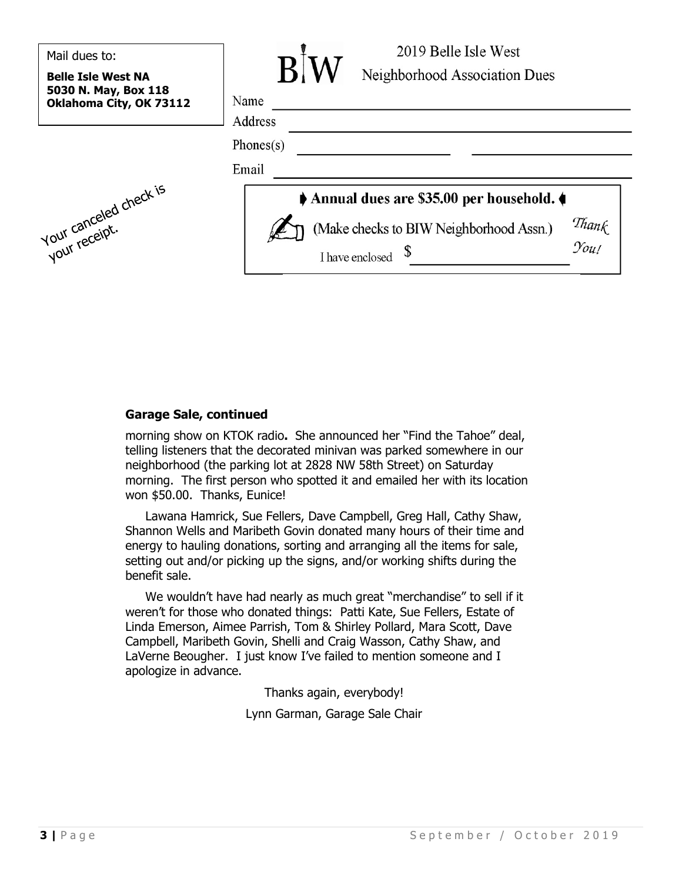| Mail dues to:<br><b>Belle Isle West NA</b><br>5030 N. May, Box 118 | 2019 Belle Isle West<br>R <sub>1</sub><br>Neighborhood Association Dues     |
|--------------------------------------------------------------------|-----------------------------------------------------------------------------|
| Oklahoma City, OK 73112                                            | Name<br>Address                                                             |
|                                                                    | Phones $(s)$                                                                |
|                                                                    | Email                                                                       |
|                                                                    | Annual dues are \$35.00 per household.                                      |
| July canceled check is                                             | Thank<br>You!<br>(Make checks to BIW Neighborhood Assn.)<br>I have enclosed |

#### **Garage Sale, continued**

morning show on KTOK radio**.** She announced her "Find the Tahoe" deal, telling listeners that the decorated minivan was parked somewhere in our neighborhood (the parking lot at 2828 NW 58th Street) on Saturday morning. The first person who spotted it and emailed her with its location won \$50.00. Thanks, Eunice!

Lawana Hamrick, Sue Fellers, Dave Campbell, Greg Hall, Cathy Shaw, Shannon Wells and Maribeth Govin donated many hours of their time and energy to hauling donations, sorting and arranging all the items for sale, setting out and/or picking up the signs, and/or working shifts during the benefit sale.

We wouldn't have had nearly as much great "merchandise" to sell if it weren't for those who donated things: Patti Kate, Sue Fellers, Estate of Linda Emerson, Aimee Parrish, Tom & Shirley Pollard, Mara Scott, Dave Campbell, Maribeth Govin, Shelli and Craig Wasson, Cathy Shaw, and LaVerne Beougher. I just know I've failed to mention someone and I apologize in advance.

Thanks again, everybody!

Lynn Garman, Garage Sale Chair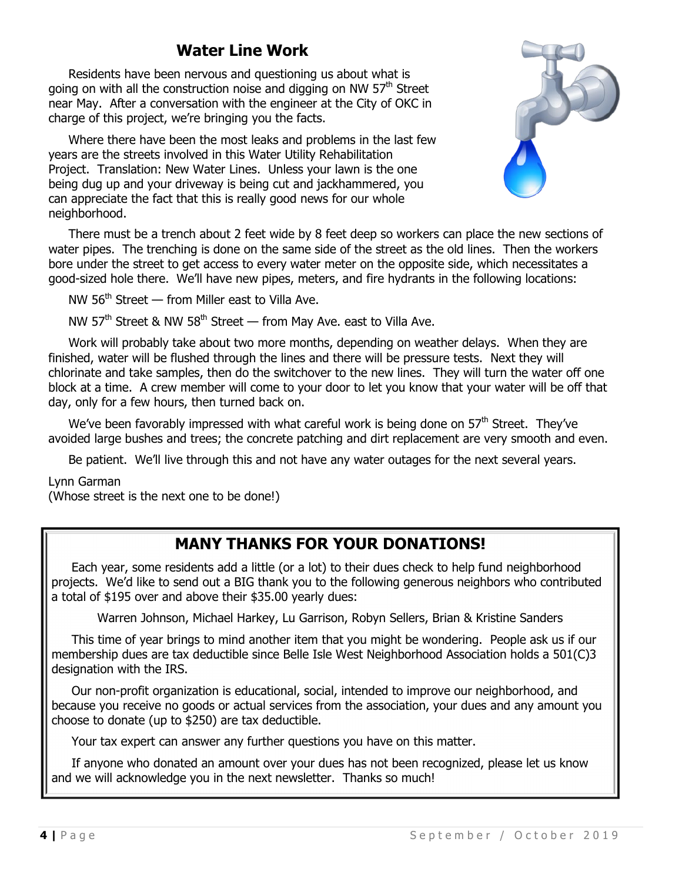# **Water Line Work**

Residents have been nervous and questioning us about what is going on with all the construction noise and digging on NW 57<sup>th</sup> Street near May. After a conversation with the engineer at the City of OKC in charge of this project, we're bringing you the facts.

Where there have been the most leaks and problems in the last few years are the streets involved in this Water Utility Rehabilitation Project. Translation: New Water Lines. Unless your lawn is the one being dug up and your driveway is being cut and jackhammered, you can appreciate the fact that this is really good news for our whole neighborhood.



There must be a trench about 2 feet wide by 8 feet deep so workers can place the new sections of water pipes. The trenching is done on the same side of the street as the old lines. Then the workers bore under the street to get access to every water meter on the opposite side, which necessitates a good-sized hole there. We'll have new pipes, meters, and fire hydrants in the following locations:

NW 56<sup>th</sup> Street — from Miller east to Villa Ave.

NW  $57<sup>th</sup>$  Street & NW  $58<sup>th</sup>$  Street — from May Ave. east to Villa Ave.

Work will probably take about two more months, depending on weather delays. When they are finished, water will be flushed through the lines and there will be pressure tests. Next they will chlorinate and take samples, then do the switchover to the new lines. They will turn the water off one block at a time. A crew member will come to your door to let you know that your water will be off that day, only for a few hours, then turned back on.

We've been favorably impressed with what careful work is being done on  $57<sup>th</sup>$  Street. They've avoided large bushes and trees; the concrete patching and dirt replacement are very smooth and even.

Be patient. We'll live through this and not have any water outages for the next several years.

Lynn Garman

(Whose street is the next one to be done!)

# **MANY THANKS FOR YOUR DONATIONS!**

Each year, some residents add a little (or a lot) to their dues check to help fund neighborhood projects. We'd like to send out a BIG thank you to the following generous neighbors who contributed a total of \$195 over and above their \$35.00 yearly dues:

Warren Johnson, Michael Harkey, Lu Garrison, Robyn Sellers, Brian & Kristine Sanders

This time of year brings to mind another item that you might be wondering. People ask us if our membership dues are tax deductible since Belle Isle West Neighborhood Association holds a 501(C)3 designation with the IRS.

Our non-profit organization is educational, social, intended to improve our neighborhood, and because you receive no goods or actual services from the association, your dues and any amount you choose to donate (up to \$250) are tax deductible.

Your tax expert can answer any further questions you have on this matter.

If anyone who donated an amount over your dues has not been recognized, please let us know and we will acknowledge you in the next newsletter. Thanks so much!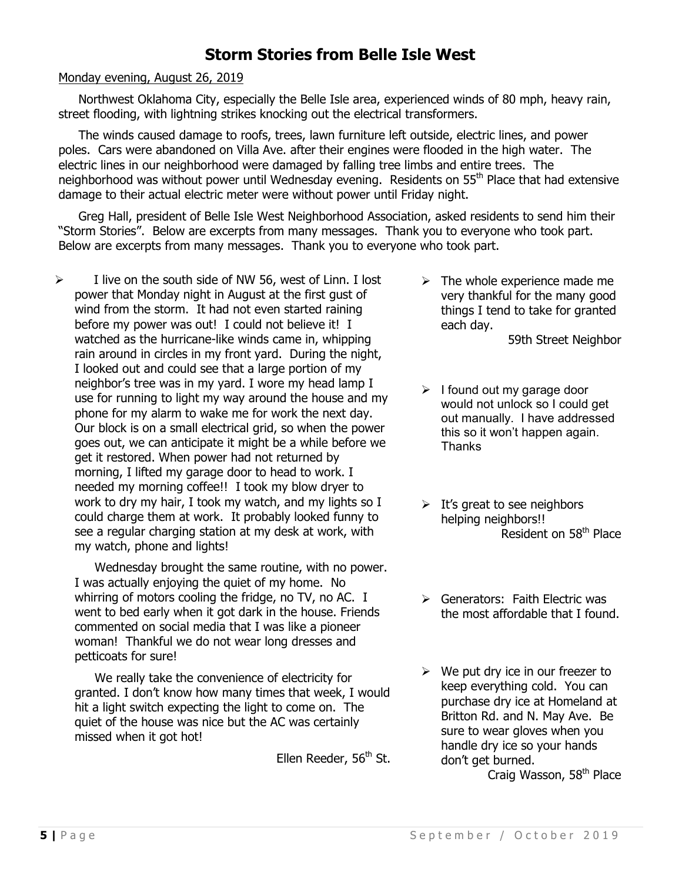# **Storm Stories from Belle Isle West**

#### Monday evening, August 26, 2019

Northwest Oklahoma City, especially the Belle Isle area, experienced winds of 80 mph, heavy rain, street flooding, with lightning strikes knocking out the electrical transformers.

The winds caused damage to roofs, trees, lawn furniture left outside, electric lines, and power poles. Cars were abandoned on Villa Ave. after their engines were flooded in the high water. The electric lines in our neighborhood were damaged by falling tree limbs and entire trees. The neighborhood was without power until Wednesday evening. Residents on 55<sup>th</sup> Place that had extensive damage to their actual electric meter were without power until Friday night.

Greg Hall, president of Belle Isle West Neighborhood Association, asked residents to send him their "Storm Stories". Below are excerpts from many messages. Thank you to everyone who took part. Below are excerpts from many messages. Thank you to everyone who took part.

 $\triangleright$  I live on the south side of NW 56, west of Linn. I lost power that Monday night in August at the first gust of wind from the storm. It had not even started raining before my power was out! I could not believe it! I watched as the hurricane-like winds came in, whipping rain around in circles in my front yard. During the night, I looked out and could see that a large portion of my neighbor's tree was in my yard. I wore my head lamp I use for running to light my way around the house and my phone for my alarm to wake me for work the next day. Our block is on a small electrical grid, so when the power goes out, we can anticipate it might be a while before we get it restored. When power had not returned by morning, I lifted my garage door to head to work. I needed my morning coffee!! I took my blow dryer to work to dry my hair, I took my watch, and my lights so I could charge them at work. It probably looked funny to see a regular charging station at my desk at work, with my watch, phone and lights!

Wednesday brought the same routine, with no power. I was actually enjoying the quiet of my home. No whirring of motors cooling the fridge, no TV, no AC. I went to bed early when it got dark in the house. Friends commented on social media that I was like a pioneer woman! Thankful we do not wear long dresses and petticoats for sure!

We really take the convenience of electricity for granted. I don't know how many times that week, I would hit a light switch expecting the light to come on. The quiet of the house was nice but the AC was certainly missed when it got hot!

Ellen Reeder,  $56<sup>th</sup>$  St.

 $\triangleright$  The whole experience made me very thankful for the many good things I tend to take for granted each day.

59th Street Neighbor

- $\triangleright$  I found out my garage door would not unlock so I could get out manually. I have addressed this so it won't happen again. **Thanks**
- $\triangleright$  It's great to see neighbors helping neighbors!! Resident on 58<sup>th</sup> Place
- $\triangleright$  Generators: Faith Electric was the most affordable that I found.
- $\triangleright$  We put dry ice in our freezer to keep everything cold. You can purchase dry ice at Homeland at Britton Rd. and N. May Ave. Be sure to wear gloves when you handle dry ice so your hands don't get burned.

Craig Wasson, 58<sup>th</sup> Place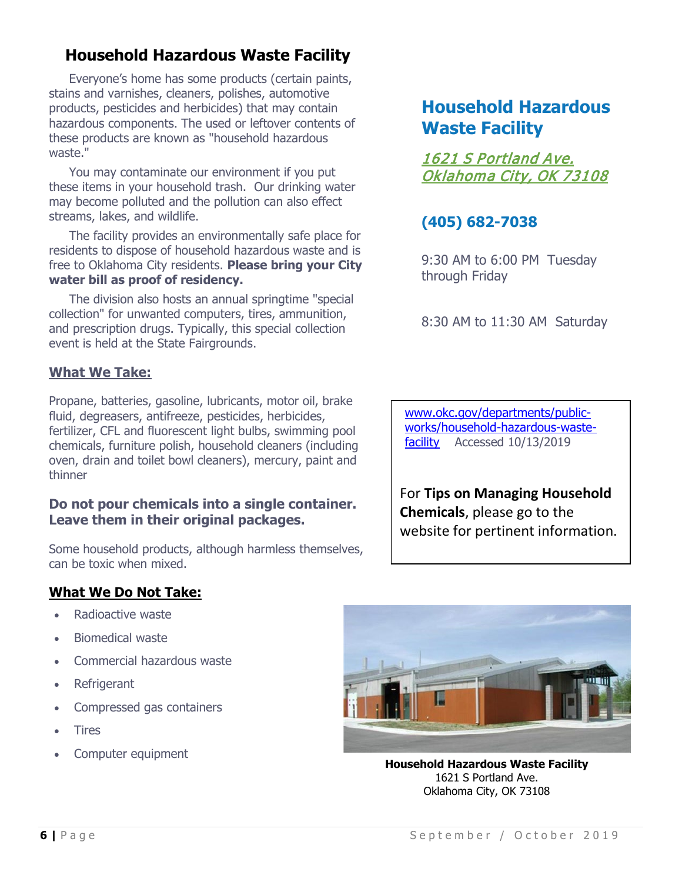# **Household Hazardous Waste Facility**

Everyone's home has some products (certain paints, stains and varnishes, cleaners, polishes, automotive products, pesticides and herbicides) that may contain hazardous components. The used or leftover contents of these products are known as "household hazardous waste."

You may contaminate our environment if you put these items in your household trash. Our drinking water may become polluted and the pollution can also effect streams, lakes, and wildlife.

The facility provides an environmentally safe place for residents to dispose of household hazardous waste and is free to Oklahoma City residents. **Please bring your City water bill as proof of residency.**

The division also hosts an annual springtime "special collection" for unwanted computers, tires, ammunition, and prescription drugs. Typically, this special collection event is held at the State Fairgrounds.

#### **What We Take:**

Propane, batteries, gasoline, lubricants, motor oil, brake fluid, degreasers, antifreeze, pesticides, herbicides, fertilizer, CFL and fluorescent light bulbs, swimming pool chemicals, furniture polish, household cleaners (including oven, drain and toilet bowl cleaners), mercury, paint and thinner

#### **Do not pour chemicals into a single container. Leave them in their original packages.**

Some household products, although harmless themselves, can be toxic when mixed.

#### **What We Do Not Take:**

- Radioactive waste
- Biomedical waste
- Commercial hazardous waste
- Refrigerant
- Compressed gas containers
- **Tires**
- Computer equipment

# **Household Hazardous Waste Facility**

[1621 S Portland Ave.](https://goo.gl/maps/P6TwxYUfAum)  [Oklahoma City, OK 73108](https://goo.gl/maps/P6TwxYUfAum) 

# **(405) 682-7038**

9:30 AM to 6:00 PM Tuesday through Friday

8:30 AM to 11:30 AM Saturday

[www.okc.gov/departments/public](http://www.okc.gov/departments/public-works/household-hazardous-waste-facility)[works/household-hazardous-waste](http://www.okc.gov/departments/public-works/household-hazardous-waste-facility)[facility](http://www.okc.gov/departments/public-works/household-hazardous-waste-facility) Accessed 10/13/2019

For **Tips on Managing Household Chemicals**, please go to the website for pertinent information.



**Household Hazardous Waste Facility** [1621 S Portland Ave.](https://goo.gl/maps/P6TwxYUfAum) [Oklahoma City, OK 73108](https://goo.gl/maps/P6TwxYUfAum)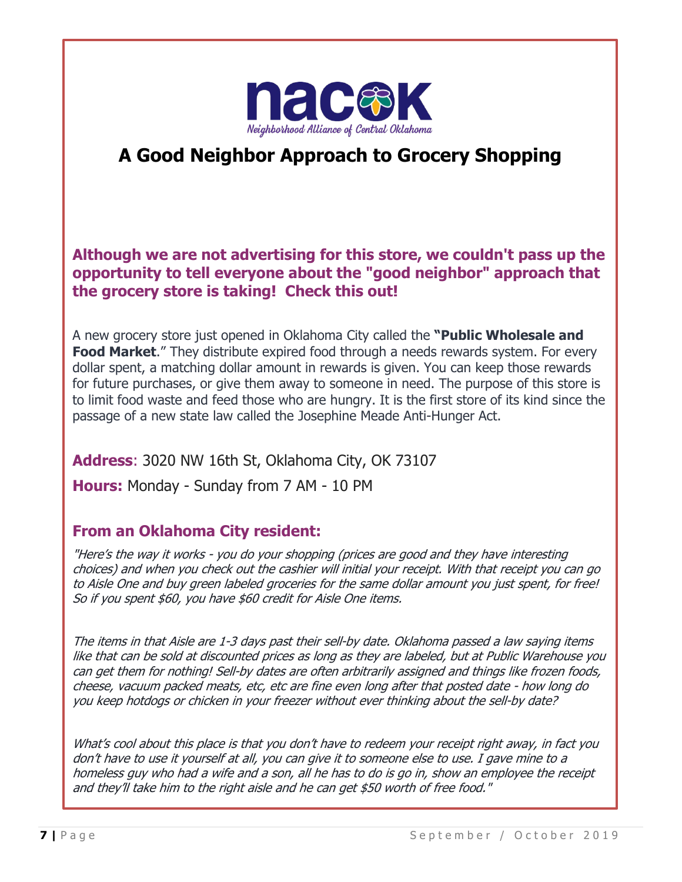

# **A Good Neighbor Approach to Grocery Shopping**

**Although we are not advertising for this store, we couldn't pass up the opportunity to tell everyone about the "good neighbor" approach that the grocery store is taking! Check this out!** 

A new grocery store just opened in Oklahoma City called the **"Public Wholesale and Food Market.**" They distribute expired food through a needs rewards system. For every dollar spent, a matching dollar amount in rewards is given. You can keep those rewards for future purchases, or give them away to someone in need. The purpose of this store is to limit food waste and feed those who are hungry. It is the first store of its kind since the passage of a new state law called the Josephine Meade Anti-Hunger Act.

**Address**: 3020 NW 16th St, Oklahoma City, OK 73107 **Hours:** Monday - Sunday from 7 AM - 10 PM

### **From an Oklahoma City resident:**

"Here's the way it works - you do your shopping (prices are good and they have interesting choices) and when you check out the cashier will initial your receipt. With that receipt you can go to Aisle One and buy green labeled groceries for the same dollar amount you just spent, for free! So if you spent \$60, you have \$60 credit for Aisle One items.

The items in that Aisle are 1-3 days past their sell-by date. Oklahoma passed a law saying items like that can be sold at discounted prices as long as they are labeled, but at Public Warehouse you can get them for nothing! Sell-by dates are often arbitrarily assigned and things like frozen foods, cheese, vacuum packed meats, etc, etc are fine even long after that posted date - how long do you keep hotdogs or chicken in your freezer without ever thinking about the sell-by date?

What's cool about this place is that you don't have to redeem your receipt right away, in fact you don't have to use it yourself at all, you can give it to someone else to use. I gave mine to a homeless guy who had a wife and a son, all he has to do is go in, show an employee the receipt and they'll take him to the right aisle and he can get \$50 worth of free food."